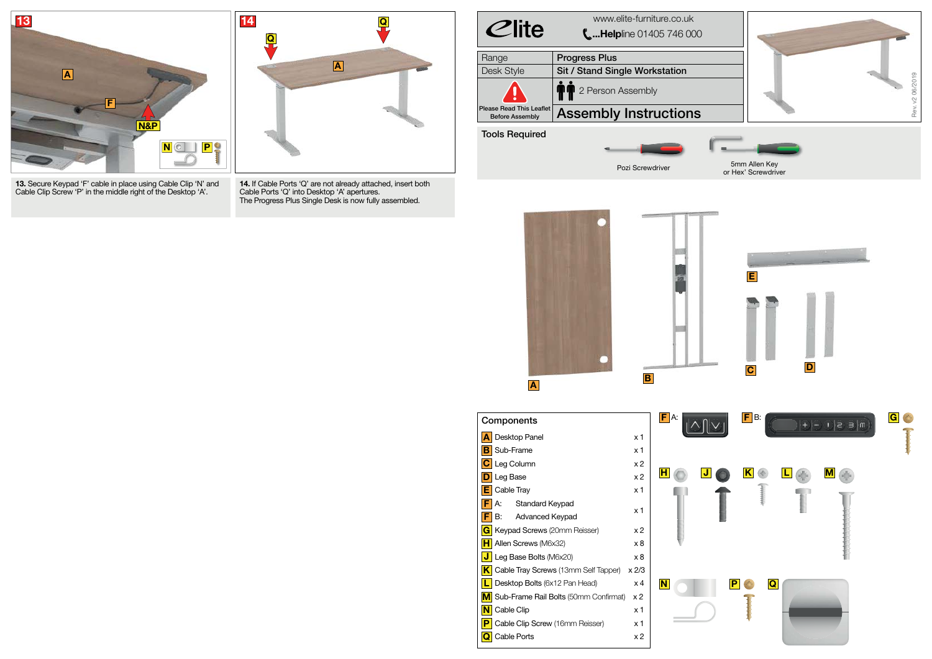**13.** Secure Keypad 'F' cable in place using Cable Clip 'N' and Cable Clip Screw 'P' in the middle right of the Desktop 'A'.

| $C$ lite                                                  | www.elite-furniture.co.uk<br><b>LHelpline 01405 746 000</b> |
|-----------------------------------------------------------|-------------------------------------------------------------|
| Range                                                     | <b>Progress Plus</b>                                        |
| Desk Style                                                | <b>Sit / Stand Single Workstation</b>                       |
|                                                           | 2 Person Assembly<br>TI                                     |
| <b>Please Read This Leaflet</b><br><b>Before Assembly</b> | <b>Assembly Instructions</b>                                |
| <b>Tools Required</b>                                     |                                                             |
|                                                           |                                                             |
|                                                           | $\sim$ $\sim$ $\sim$ $\sim$ $\sim$                          |





| Components                            | FI<br>А:        |   |
|---------------------------------------|-----------------|---|
| Desktop Panel                         | x 1             |   |
| Sub-Frame<br>в                        |                 |   |
| Leg Column                            |                 |   |
| Leg Base                              |                 |   |
| Cable Tray                            | x 1             |   |
| А:<br><b>Standard Keypad</b>          | x 1             |   |
| В:<br><b>Advanced Keypad</b><br>F.    |                 |   |
| Keypad Screws (20mm Reisser)<br>G     | x 2             |   |
| Allen Screws (M6x32)                  | x8              |   |
| Leg Base Bolts (M6x20)                |                 |   |
| Cable Tray Screws (13mm Self Tapper)  | $x \frac{2}{3}$ |   |
| Desktop Bolts (6x12 Pan Head)         | x 4             | N |
| Sub-Frame Rail Bolts (50mm Confirmat) | x 2             |   |
| Cable Clip                            | x 1             |   |
| Cable Clip Screw (16mm Reisser)       | x 1             |   |
| Cable Ports                           | x 2             |   |
|                                       |                 |   |

**14.** If Cable Ports 'Q' are not already attached, insert both Cable Ports 'Q' into Desktop 'A' apertures. The Progress Plus Single Desk is now fully assembled.